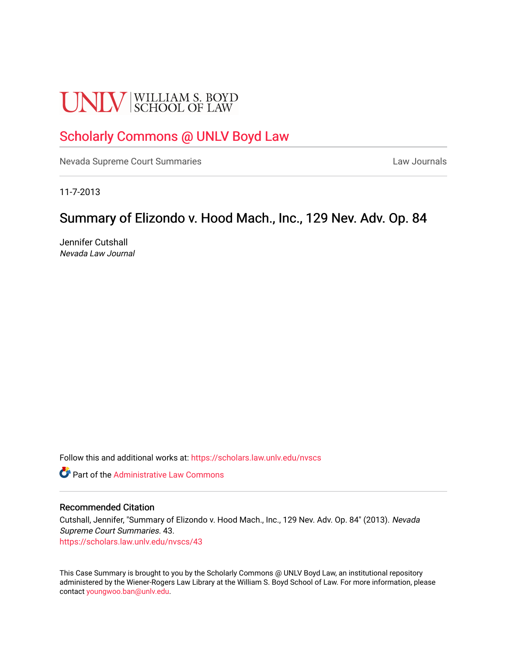# **UNLV** SCHOOL OF LAW

# [Scholarly Commons @ UNLV Boyd Law](https://scholars.law.unlv.edu/)

[Nevada Supreme Court Summaries](https://scholars.law.unlv.edu/nvscs) **Law Journals** Law Journals

11-7-2013

## Summary of Elizondo v. Hood Mach., Inc., 129 Nev. Adv. Op. 84

Jennifer Cutshall Nevada Law Journal

Follow this and additional works at: [https://scholars.law.unlv.edu/nvscs](https://scholars.law.unlv.edu/nvscs?utm_source=scholars.law.unlv.edu%2Fnvscs%2F43&utm_medium=PDF&utm_campaign=PDFCoverPages)

**C** Part of the Administrative Law Commons

#### Recommended Citation

Cutshall, Jennifer, "Summary of Elizondo v. Hood Mach., Inc., 129 Nev. Adv. Op. 84" (2013). Nevada Supreme Court Summaries. 43. [https://scholars.law.unlv.edu/nvscs/43](https://scholars.law.unlv.edu/nvscs/43?utm_source=scholars.law.unlv.edu%2Fnvscs%2F43&utm_medium=PDF&utm_campaign=PDFCoverPages) 

This Case Summary is brought to you by the Scholarly Commons @ UNLV Boyd Law, an institutional repository administered by the Wiener-Rogers Law Library at the William S. Boyd School of Law. For more information, please contact [youngwoo.ban@unlv.edu](mailto:youngwoo.ban@unlv.edu).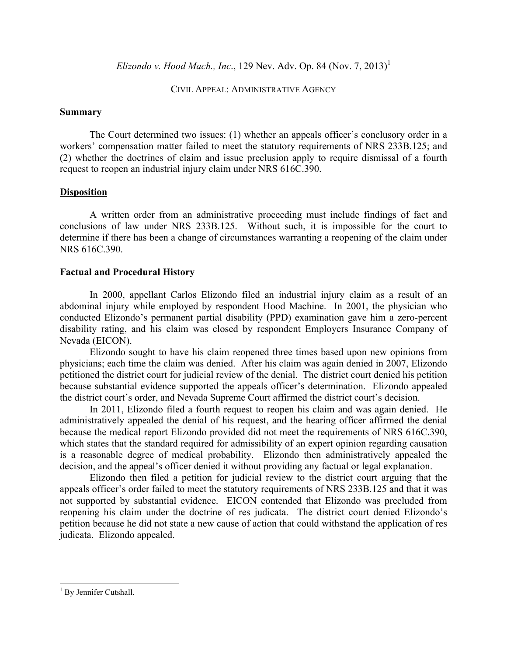*Elizondo v. Hood Mach., Inc.,* 129 Nev. Adv. Op. 84 (Nov. 7, 2013)<sup>1</sup>

CIVIL APPEAL: ADMINISTRATIVE AGENCY

## **Summary**

The Court determined two issues: (1) whether an appeals officer's conclusory order in a workers' compensation matter failed to meet the statutory requirements of NRS 233B.125; and (2) whether the doctrines of claim and issue preclusion apply to require dismissal of a fourth request to reopen an industrial injury claim under NRS 616C.390.

## **Disposition**

A written order from an administrative proceeding must include findings of fact and conclusions of law under NRS 233B.125. Without such, it is impossible for the court to determine if there has been a change of circumstances warranting a reopening of the claim under NRS 616C.390.

## **Factual and Procedural History**

In 2000, appellant Carlos Elizondo filed an industrial injury claim as a result of an abdominal injury while employed by respondent Hood Machine. In 2001, the physician who conducted Elizondo's permanent partial disability (PPD) examination gave him a zero-percent disability rating, and his claim was closed by respondent Employers Insurance Company of Nevada (EICON).

Elizondo sought to have his claim reopened three times based upon new opinions from physicians; each time the claim was denied. After his claim was again denied in 2007, Elizondo petitioned the district court for judicial review of the denial. The district court denied his petition because substantial evidence supported the appeals officer's determination. Elizondo appealed the district court's order, and Nevada Supreme Court affirmed the district court's decision.

In 2011, Elizondo filed a fourth request to reopen his claim and was again denied. He administratively appealed the denial of his request, and the hearing officer affirmed the denial because the medical report Elizondo provided did not meet the requirements of NRS 616C.390, which states that the standard required for admissibility of an expert opinion regarding causation is a reasonable degree of medical probability. Elizondo then administratively appealed the decision, and the appeal's officer denied it without providing any factual or legal explanation.

Elizondo then filed a petition for judicial review to the district court arguing that the appeals officer's order failed to meet the statutory requirements of NRS 233B.125 and that it was not supported by substantial evidence. EICON contended that Elizondo was precluded from reopening his claim under the doctrine of res judicata. The district court denied Elizondo's petition because he did not state a new cause of action that could withstand the application of res judicata. Elizondo appealed.

 

 $<sup>1</sup>$  By Jennifer Cutshall.</sup>